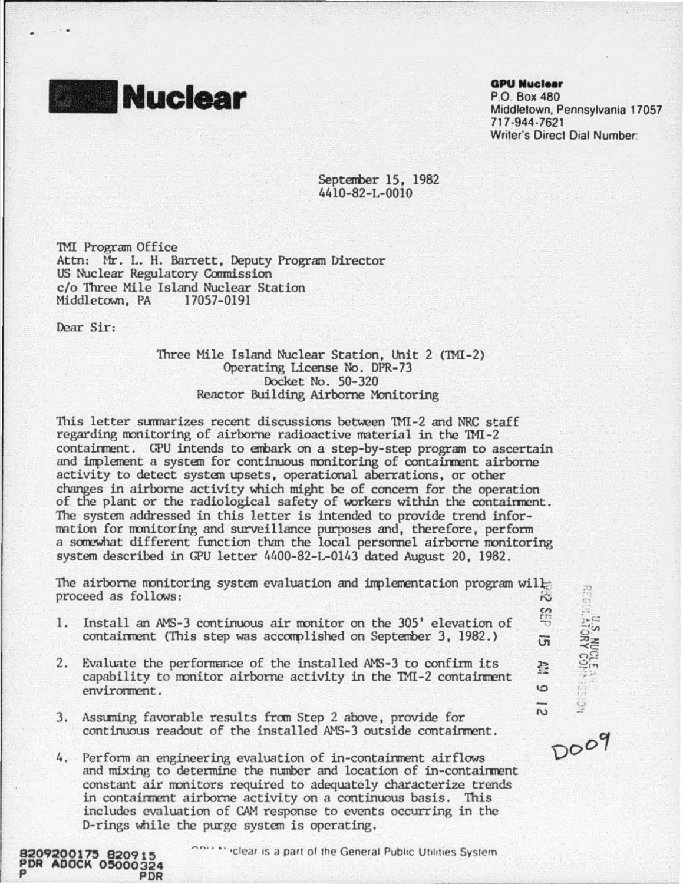

SEP 15

£, C  $\overline{5}$   $\overline{\mathbb{R}}$ 

 $\frac{2}{2}$  $\frac{10}{62}$ 

С.

Doog

Middletown. Pennsylvania 17057 717-944-7621 Writer's Direct Dial Number:

September 15, 1982 4410-82-L-0010

1MI Program Office Attn: Hr. L. H. Barrett, Deputy Program Director US Nuclear Regulatory Commission c/o Three Mile Island Nuclear Station Middletown, PA

Dear Sir:

. .

## Three Mile Island Nuclear Station, Unit 2 (1MI-2) Operating License No. DPR-73 Docket No. 50-320 Reactor Building Airborne Monitoring

This letter summarizes recent discussions between TMI-2 and NRC staff regarding rwnitoring of airborne radioactive material in the 'IMI-2 containment. GPU intends to embark on a step-by-step program to ascertain and implement a system for continuous monitoring of containment airborne activity to detect system upsets, operational aberrations, or other changes in airborne activity which might be of concern for the operation of the plant or the radiological safety of workers within the containment. The system addressed in this letter is intended to provide trend information for rwnitoring and surveillance purposes and, therefore, perform a somewhat different function than the local personnel airborne monitoring system described in GPU letter 4400-82-L-0143 dated August 20, 1982.

The airborne monitoring system evaluation and implementation program wilk<br>proceed as follows: proceed as follows:

- 1. Install an AMS-3 continuous air rwnitor on the 305' elevation of containment (This step was accomplished on September 3, 1982.)
- 2. Evaluate the performance of the installed AMS-3 to confirm its capability to monitor airborne activity in the TMI-2 containment environrent.
- 3. Assuning favorable results fran Step 2 above, provide for continuous readout of the installed AMS-3 outside containment.
- 4. Perform an engineering evaluation of in-containment airflows and mixing to determine the number and location of in-containment constant air monitors required to adequately characterize trends in containment airborne activity on a continuous basis. This includes evaluation of CAM response to events occurring in the D-rings while the purge system is operating .

8209200175 820915<br>PDR ADOCK 05000324 P PDR

notive a clear is a part of the General Public Utilities System